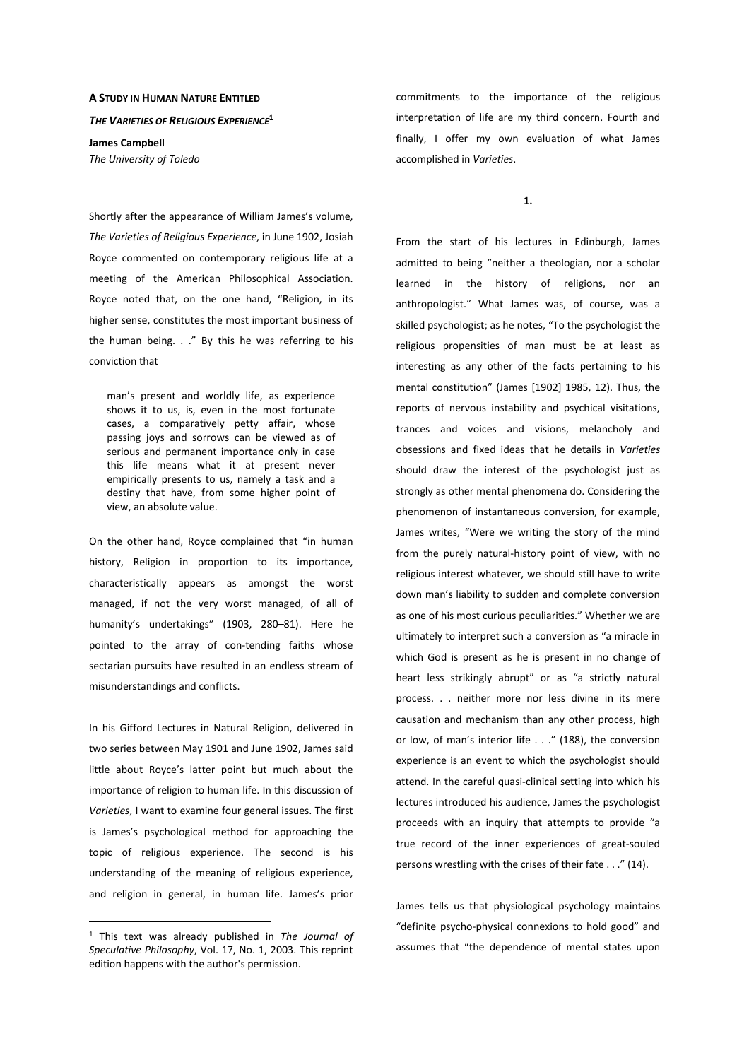#### **A STUDY IN HUMAN NATURE ENTITLED**

# *THE VARIETIES OF RELIGIOUS EXPERIENCE***<sup>1</sup>**

**James Campbell** 

*The University of Toledo* 

Shortly after the appearance of William James's volume, *The Varieties of Religious Experience*, in June 1902, Josiah Royce commented on contemporary religious life at a meeting of the American Philosophical Association. Royce noted that, on the one hand, "Religion, in its higher sense, constitutes the most important business of the human being. . ." By this he was referring to his conviction that

man's present and worldly life, as experience shows it to us, is, even in the most fortunate cases, a comparatively petty affair, whose passing joys and sorrows can be viewed as of serious and permanent importance only in case this life means what it at present never empirically presents to us, namely a task and a destiny that have, from some higher point of view, an absolute value.

On the other hand, Royce complained that "in human history. Religion in proportion to its importance. characteristically appears as amongst the worst managed, if not the very worst managed, of all of humanity's undertakings" (1903, 280–81). Here he pointed to the array of con-tending faiths whose sectarian pursuits have resulted in an endless stream of misunderstandings and conflicts.

In his Gifford Lectures in Natural Religion, delivered in two series between May 1901 and June 1902, James said little about Royce's latter point but much about the importance of religion to human life. In this discussion of *Varieties*, I want to examine four general issues. The first is James's psychological method for approaching the topic of religious experience. The second is his understanding of the meaning of religious experience, and religion in general, in human life. James's prior

 $\overline{a}$ 

commitments to the importance of the religious interpretation of life are my third concern. Fourth and finally, I offer my own evaluation of what James accomplished in *Varieties*.

## **1.**

From the start of his lectures in Edinburgh, James admitted to being "neither a theologian, nor a scholar learned in the history of religions, nor an anthropologist." What James was, of course, was a skilled psychologist; as he notes, "To the psychologist the religious propensities of man must be at least as interesting as any other of the facts pertaining to his mental constitution" (James [1902] 1985, 12). Thus, the reports of nervous instability and psychical visitations, trances and voices and visions, melancholy and obsessions and fixed ideas that he details in *Varieties* should draw the interest of the psychologist just as strongly as other mental phenomena do. Considering the phenomenon of instantaneous conversion, for example, James writes, "Were we writing the story of the mind from the purely natural-history point of view, with no religious interest whatever, we should still have to write down man's liability to sudden and complete conversion as one of his most curious peculiarities." Whether we are ultimately to interpret such a conversion as "a miracle in which God is present as he is present in no change of heart less strikingly abrupt" or as "a strictly natural process. . . neither more nor less divine in its mere causation and mechanism than any other process, high or low, of man's interior life . . ." (188), the conversion experience is an event to which the psychologist should attend. In the careful quasi-clinical setting into which his lectures introduced his audience, James the psychologist proceeds with an inquiry that attempts to provide "a true record of the inner experiences of great-souled persons wrestling with the crises of their fate . . ." (14).

James tells us that physiological psychology maintains "definite psycho-physical connexions to hold good" and assumes that "the dependence of mental states upon

<sup>1</sup> This text was already published in *The Journal of Speculative Philosophy*, Vol. 17, No. 1, 2003. This reprint edition happens with the author's permission.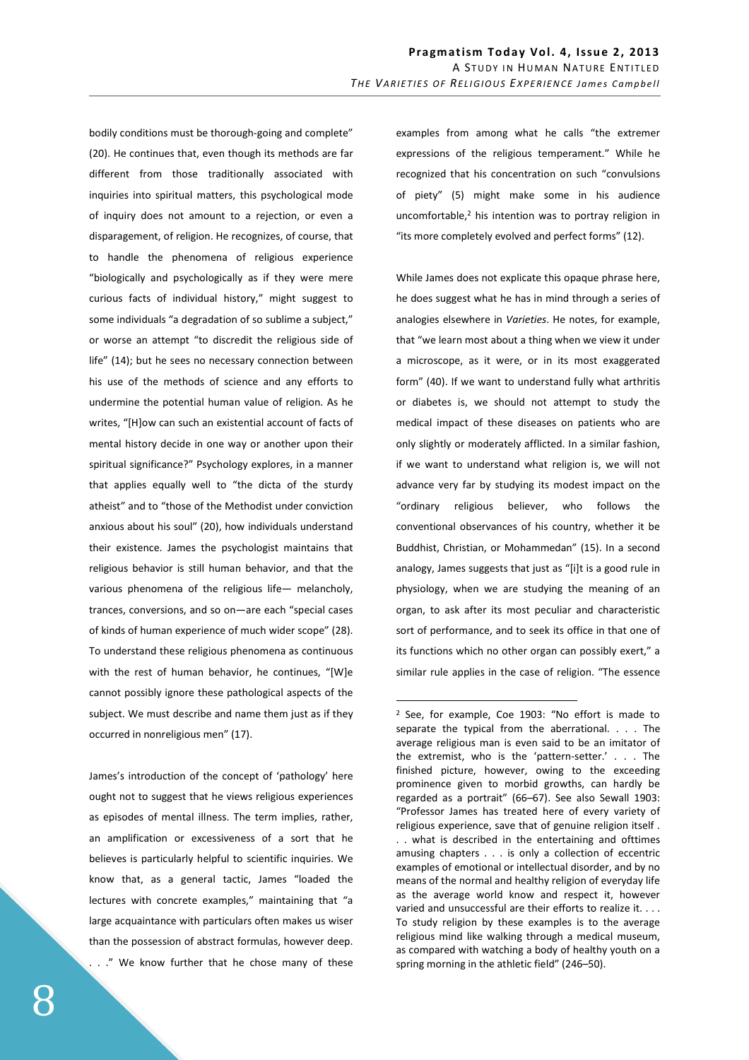bodily conditions must be thorough-going and complete" (20). He continues that, even though its methods are far different from those traditionally associated with inquiries into spiritual matters, this psychological mode of inquiry does not amount to a rejection, or even a disparagement, of religion. He recognizes, of course, that to handle the phenomena of religious experience "biologically and psychologically as if they were mere curious facts of individual history," might suggest to some individuals "a degradation of so sublime a subject," or worse an attempt "to discredit the religious side of life" (14); but he sees no necessary connection between his use of the methods of science and any efforts to undermine the potential human value of religion. As he writes, "[H]ow can such an existential account of facts of mental history decide in one way or another upon their spiritual significance?" Psychology explores, in a manner that applies equally well to "the dicta of the sturdy atheist" and to "those of the Methodist under conviction anxious about his soul" (20), how individuals understand their existence. James the psychologist maintains that religious behavior is still human behavior, and that the various phenomena of the religious life— melancholy, trances, conversions, and so on—are each "special cases of kinds of human experience of much wider scope" (28). To understand these religious phenomena as continuous with the rest of human behavior, he continues, "[W]e cannot possibly ignore these pathological aspects of the subject. We must describe and name them just as if they occurred in nonreligious men" (17).

James's introduction of the concept of 'pathology' here ought not to suggest that he views religious experiences as episodes of mental illness. The term implies, rather, an amplification or excessiveness of a sort that he believes is particularly helpful to scientific inquiries. We know that, as a general tactic, James "loaded the lectures with concrete examples," maintaining that "a large acquaintance with particulars often makes us wiser than the possession of abstract formulas, however deep. . . ." We know further that he chose many of these examples from among what he calls "the extremer expressions of the religious temperament." While he recognized that his concentration on such "convulsions of piety" (5) might make some in his audience uncomfortable,<sup>2</sup> his intention was to portray religion in "its more completely evolved and perfect forms" (12).

While James does not explicate this opaque phrase here, he does suggest what he has in mind through a series of analogies elsewhere in *Varieties*. He notes, for example, that "we learn most about a thing when we view it under a microscope, as it were, or in its most exaggerated form" (40). If we want to understand fully what arthritis or diabetes is, we should not attempt to study the medical impact of these diseases on patients who are only slightly or moderately afflicted. In a similar fashion, if we want to understand what religion is, we will not advance very far by studying its modest impact on the "ordinary religious believer, who follows the conventional observances of his country, whether it be Buddhist, Christian, or Mohammedan" (15). In a second analogy, James suggests that just as "[i]t is a good rule in physiology, when we are studying the meaning of an organ, to ask after its most peculiar and characteristic sort of performance, and to seek its office in that one of its functions which no other organ can possibly exert," a similar rule applies in the case of religion. "The essence

 $\overline{a}$ 

<sup>2</sup> See, for example, Coe 1903: "No effort is made to separate the typical from the aberrational. . . . The average religious man is even said to be an imitator of the extremist, who is the 'pattern-setter.' . . . The finished picture, however, owing to the exceeding prominence given to morbid growths, can hardly be regarded as a portrait" (66–67). See also Sewall 1903: "Professor James has treated here of every variety of religious experience, save that of genuine religion itself . . . what is described in the entertaining and ofttimes amusing chapters . . . is only a collection of eccentric examples of emotional or intellectual disorder, and by no means of the normal and healthy religion of everyday life as the average world know and respect it, however varied and unsuccessful are their efforts to realize it. . . . To study religion by these examples is to the average religious mind like walking through a medical museum, as compared with watching a body of healthy youth on a spring morning in the athletic field" (246–50).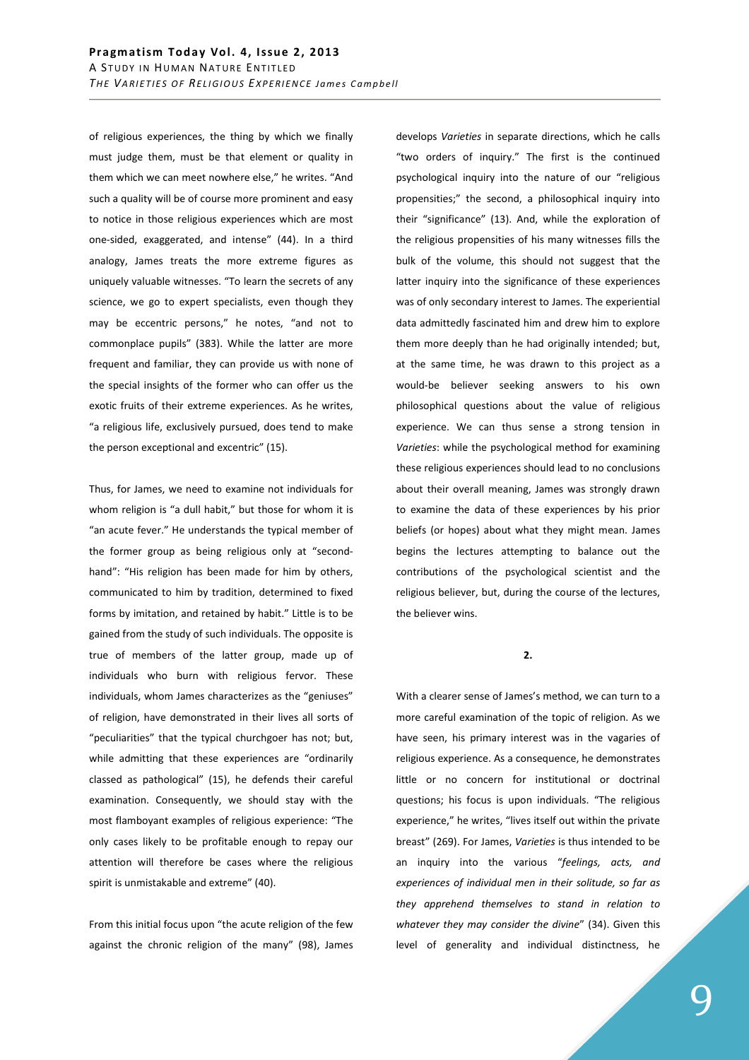of religious experiences, the thing by which we finally must judge them, must be that element or quality in them which we can meet nowhere else," he writes. "And such a quality will be of course more prominent and easy to notice in those religious experiences which are most one-sided, exaggerated, and intense" (44). In a third analogy, James treats the more extreme figures as uniquely valuable witnesses. "To learn the secrets of any science, we go to expert specialists, even though they may be eccentric persons," he notes, "and not to commonplace pupils" (383). While the latter are more frequent and familiar, they can provide us with none of the special insights of the former who can offer us the exotic fruits of their extreme experiences. As he writes, "a religious life, exclusively pursued, does tend to make the person exceptional and excentric" (15).

Thus, for James, we need to examine not individuals for whom religion is "a dull habit," but those for whom it is "an acute fever." He understands the typical member of the former group as being religious only at "secondhand": "His religion has been made for him by others, communicated to him by tradition, determined to fixed forms by imitation, and retained by habit." Little is to be gained from the study of such individuals. The opposite is true of members of the latter group, made up of individuals who burn with religious fervor. These individuals, whom James characterizes as the "geniuses" of religion, have demonstrated in their lives all sorts of "peculiarities" that the typical churchgoer has not; but, while admitting that these experiences are "ordinarily classed as pathological" (15), he defends their careful examination. Consequently, we should stay with the most flamboyant examples of religious experience: "The only cases likely to be profitable enough to repay our attention will therefore be cases where the religious spirit is unmistakable and extreme" (40).

From this initial focus upon "the acute religion of the few against the chronic religion of the many" (98), James develops *Varieties* in separate directions, which he calls "two orders of inquiry." The first is the continued psychological inquiry into the nature of our "religious propensities;" the second, a philosophical inquiry into their "significance" (13). And, while the exploration of the religious propensities of his many witnesses fills the bulk of the volume, this should not suggest that the latter inquiry into the significance of these experiences was of only secondary interest to James. The experiential data admittedly fascinated him and drew him to explore them more deeply than he had originally intended; but, at the same time, he was drawn to this project as a would-be believer seeking answers to his own philosophical questions about the value of religious experience. We can thus sense a strong tension in *Varieties*: while the psychological method for examining these religious experiences should lead to no conclusions about their overall meaning, James was strongly drawn to examine the data of these experiences by his prior beliefs (or hopes) about what they might mean. James begins the lectures attempting to balance out the contributions of the psychological scientist and the religious believer, but, during the course of the lectures, the believer wins.

### **2.**

With a clearer sense of James's method, we can turn to a more careful examination of the topic of religion. As we have seen, his primary interest was in the vagaries of religious experience. As a consequence, he demonstrates little or no concern for institutional or doctrinal questions; his focus is upon individuals. "The religious experience," he writes, "lives itself out within the private breast" (269). For James, *Varieties* is thus intended to be an inquiry into the various "*feelings, acts, and experiences of individual men in their solitude, so far as they apprehend themselves to stand in relation to whatever they may consider the divine*" (34). Given this level of generality and individual distinctness, he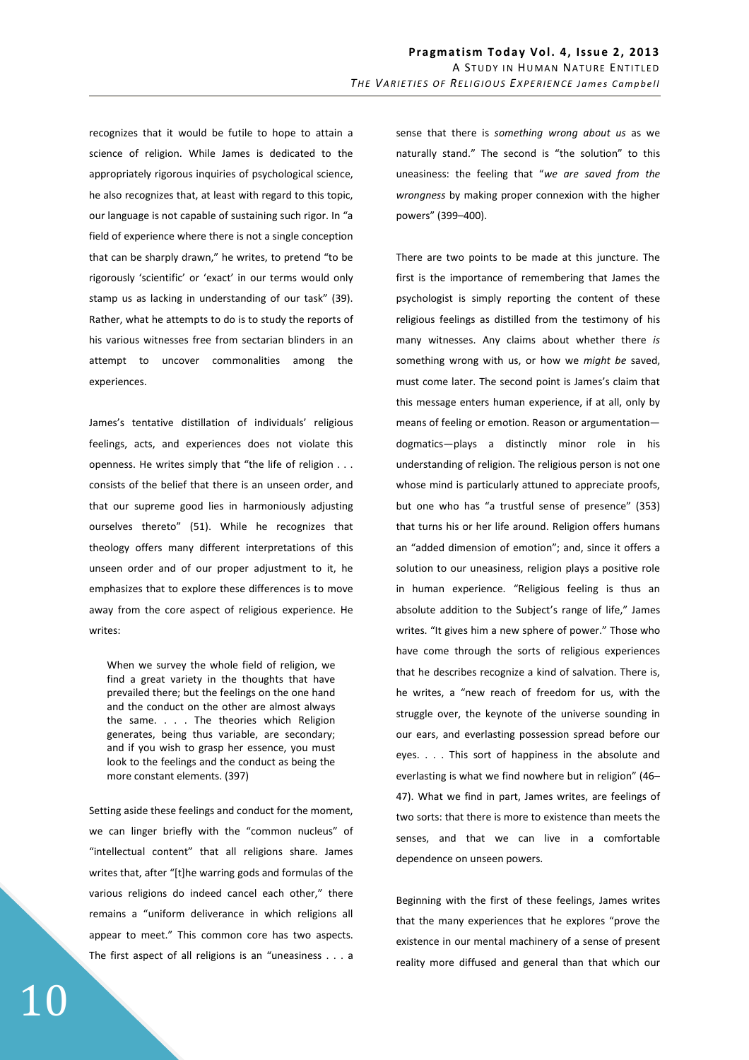recognizes that it would be futile to hope to attain a science of religion. While James is dedicated to the appropriately rigorous inquiries of psychological science, he also recognizes that, at least with regard to this topic, our language is not capable of sustaining such rigor. In "a field of experience where there is not a single conception that can be sharply drawn," he writes, to pretend "to be rigorously 'scientific' or 'exact' in our terms would only stamp us as lacking in understanding of our task" (39). Rather, what he attempts to do is to study the reports of his various witnesses free from sectarian blinders in an attempt to uncover commonalities among the experiences.

James's tentative distillation of individuals' religious feelings, acts, and experiences does not violate this openness. He writes simply that "the life of religion . . . consists of the belief that there is an unseen order, and that our supreme good lies in harmoniously adjusting ourselves thereto" (51). While he recognizes that theology offers many different interpretations of this unseen order and of our proper adjustment to it, he emphasizes that to explore these differences is to move away from the core aspect of religious experience. He writes:

When we survey the whole field of religion, we find a great variety in the thoughts that have prevailed there; but the feelings on the one hand and the conduct on the other are almost always the same. . . . The theories which Religion generates, being thus variable, are secondary; and if you wish to grasp her essence, you must look to the feelings and the conduct as being the more constant elements. (397)

Setting aside these feelings and conduct for the moment, we can linger briefly with the "common nucleus" of "intellectual content" that all religions share. James writes that, after "[t]he warring gods and formulas of the various religions do indeed cancel each other," there remains a "uniform deliverance in which religions all appear to meet." This common core has two aspects. The first aspect of all religions is an "uneasiness . . . a

sense that there is *something wrong about us* as we naturally stand." The second is "the solution" to this uneasiness: the feeling that "*we are saved from the wrongness* by making proper connexion with the higher powers" (399–400).

There are two points to be made at this juncture. The first is the importance of remembering that James the psychologist is simply reporting the content of these religious feelings as distilled from the testimony of his many witnesses. Any claims about whether there *is* something wrong with us, or how we *might be* saved, must come later. The second point is James's claim that this message enters human experience, if at all, only by means of feeling or emotion. Reason or argumentation dogmatics—plays a distinctly minor role in his understanding of religion. The religious person is not one whose mind is particularly attuned to appreciate proofs, but one who has "a trustful sense of presence" (353) that turns his or her life around. Religion offers humans an "added dimension of emotion"; and, since it offers a solution to our uneasiness, religion plays a positive role in human experience. "Religious feeling is thus an absolute addition to the Subject's range of life," James writes. "It gives him a new sphere of power." Those who have come through the sorts of religious experiences that he describes recognize a kind of salvation. There is, he writes, a "new reach of freedom for us, with the struggle over, the keynote of the universe sounding in our ears, and everlasting possession spread before our eyes. . . . This sort of happiness in the absolute and everlasting is what we find nowhere but in religion" (46– 47). What we find in part, James writes, are feelings of two sorts: that there is more to existence than meets the senses, and that we can live in a comfortable dependence on unseen powers.

Beginning with the first of these feelings, James writes that the many experiences that he explores "prove the existence in our mental machinery of a sense of present reality more diffused and general than that which our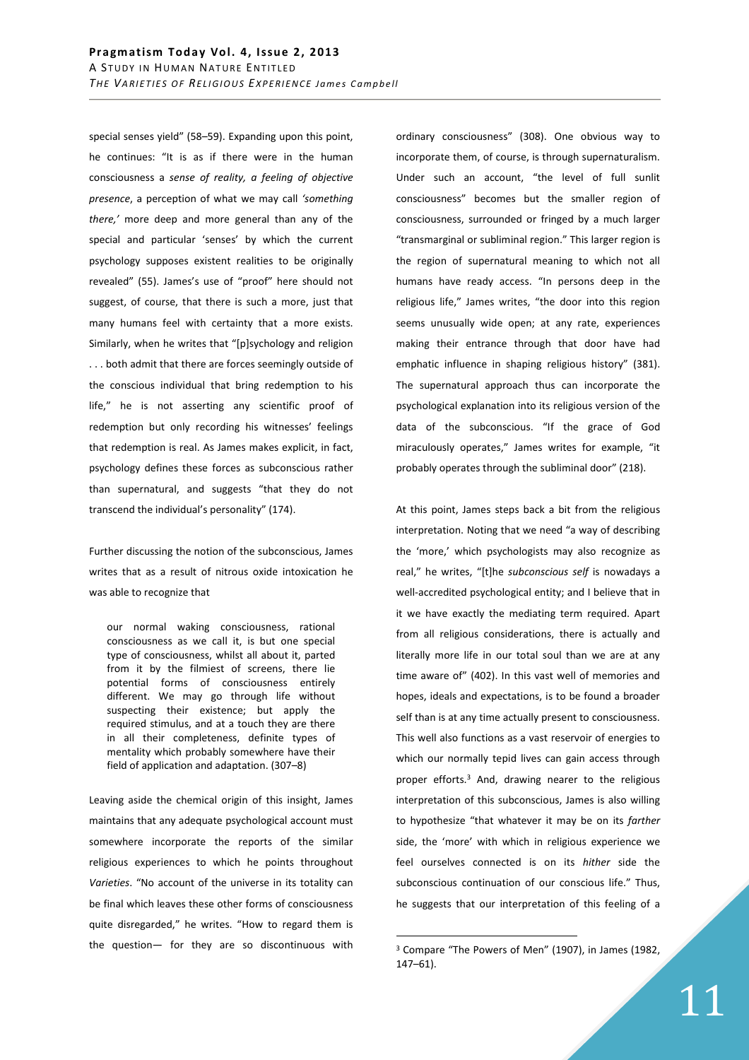special senses yield" (58–59). Expanding upon this point, he continues: "It is as if there were in the human consciousness a *sense of reality, a feeling of objective presence*, a perception of what we may call *'something there,'* more deep and more general than any of the special and particular 'senses' by which the current psychology supposes existent realities to be originally revealed" (55). James's use of "proof" here should not suggest, of course, that there is such a more, just that many humans feel with certainty that a more exists. Similarly, when he writes that "[p]sychology and religion . . . both admit that there are forces seemingly outside of the conscious individual that bring redemption to his life," he is not asserting any scientific proof of redemption but only recording his witnesses' feelings that redemption is real. As James makes explicit, in fact, psychology defines these forces as subconscious rather than supernatural, and suggests "that they do not transcend the individual's personality" (174).

Further discussing the notion of the subconscious, James writes that as a result of nitrous oxide intoxication he was able to recognize that

our normal waking consciousness, rational consciousness as we call it, is but one special type of consciousness, whilst all about it, parted from it by the filmiest of screens, there lie potential forms of consciousness entirely different. We may go through life without suspecting their existence; but apply the required stimulus, and at a touch they are there in all their completeness, definite types of mentality which probably somewhere have their field of application and adaptation. (307–8)

Leaving aside the chemical origin of this insight, James maintains that any adequate psychological account must somewhere incorporate the reports of the similar religious experiences to which he points throughout *Varieties*. "No account of the universe in its totality can be final which leaves these other forms of consciousness quite disregarded," he writes. "How to regard them is the question— for they are so discontinuous with ordinary consciousness" (308). One obvious way to incorporate them, of course, is through supernaturalism. Under such an account, "the level of full sunlit consciousness" becomes but the smaller region of consciousness, surrounded or fringed by a much larger "transmarginal or subliminal region." This larger region is the region of supernatural meaning to which not all humans have ready access. "In persons deep in the religious life," James writes, "the door into this region seems unusually wide open; at any rate, experiences making their entrance through that door have had emphatic influence in shaping religious history" (381). The supernatural approach thus can incorporate the psychological explanation into its religious version of the data of the subconscious. "If the grace of God miraculously operates," James writes for example, "it probably operates through the subliminal door" (218).

At this point, James steps back a bit from the religious interpretation. Noting that we need "a way of describing the 'more,' which psychologists may also recognize as real," he writes, "[t]he *subconscious self* is nowadays a well-accredited psychological entity; and I believe that in it we have exactly the mediating term required. Apart from all religious considerations, there is actually and literally more life in our total soul than we are at any time aware of" (402). In this vast well of memories and hopes, ideals and expectations, is to be found a broader self than is at any time actually present to consciousness. This well also functions as a vast reservoir of energies to which our normally tepid lives can gain access through proper efforts.<sup>3</sup> And, drawing nearer to the religious interpretation of this subconscious, James is also willing to hypothesize "that whatever it may be on its *farther* side, the 'more' with which in religious experience we feel ourselves connected is on its *hither* side the subconscious continuation of our conscious life." Thus, he suggests that our interpretation of this feeling of a

 $\overline{a}$ 

<sup>&</sup>lt;sup>3</sup> Compare "The Powers of Men" (1907), in James (1982, 147–61).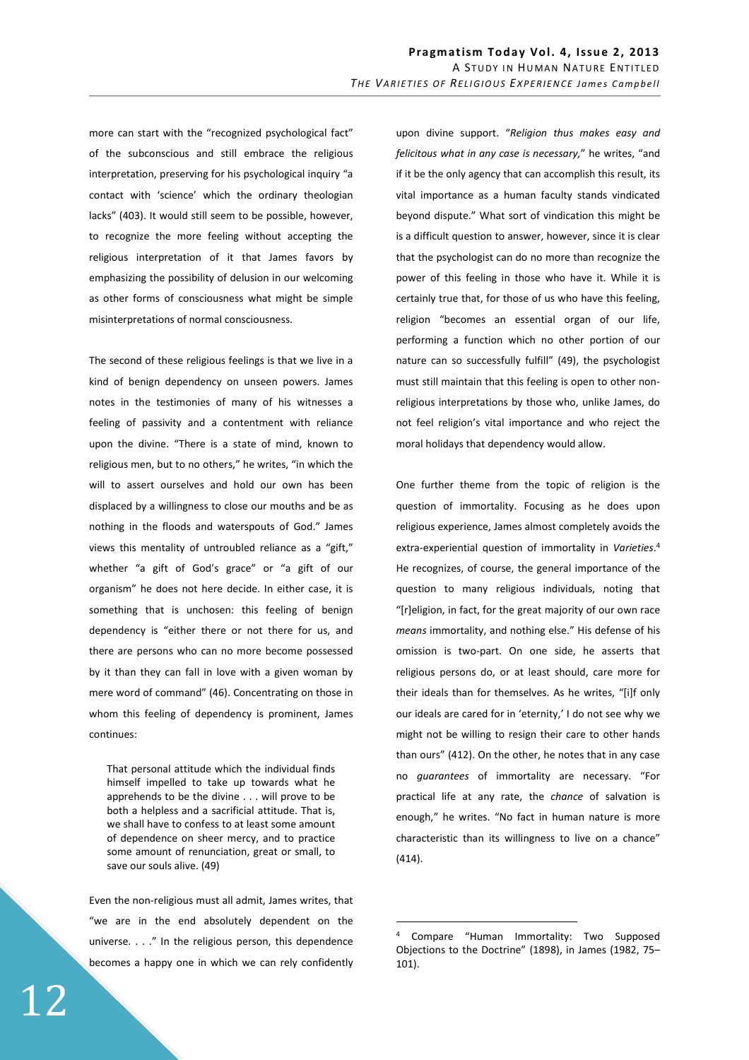more can start with the "recognized psychological fact" of the subconscious and still embrace the religious interpretation, preserving for his psychological inquiry "a contact with 'science' which the ordinary theologian lacks" (403). It would still seem to be possible, however, to recognize the more feeling without accepting the religious interpretation of it that James favors by emphasizing the possibility of delusion in our welcoming as other forms of consciousness what might be simple misinterpretations of normal consciousness.

The second of these religious feelings is that we live in a kind of benign dependency on unseen powers. James notes in the testimonies of many of his witnesses a feeling of passivity and a contentment with reliance upon the divine. "There is a state of mind, known to religious men, but to no others," he writes, "in which the will to assert ourselves and hold our own has been displaced by a willingness to close our mouths and be as nothing in the floods and waterspouts of God." James views this mentality of untroubled reliance as a "gift," whether "a gift of God's grace" or "a gift of our organism" he does not here decide. In either case, it is something that is unchosen: this feeling of benign dependency is "either there or not there for us, and there are persons who can no more become possessed by it than they can fall in love with a given woman by mere word of command" (46). Concentrating on those in whom this feeling of dependency is prominent, James continues:

That personal attitude which the individual finds himself impelled to take up towards what he apprehends to be the divine . . . will prove to be both a helpless and a sacrificial attitude. That is, we shall have to confess to at least some amount of dependence on sheer mercy, and to practice some amount of renunciation, great or small, to save our souls alive. (49)

Even the non-religious must all admit, James writes, that "we are in the end absolutely dependent on the universe. . . ." In the religious person, this dependence becomes a happy one in which we can rely confidently

upon divine support. "*Religion thus makes easy and felicitous what in any case is necessary,*" he writes, "and if it be the only agency that can accomplish this result, its vital importance as a human faculty stands vindicated beyond dispute." What sort of vindication this might be is a difficult question to answer, however, since it is clear that the psychologist can do no more than recognize the power of this feeling in those who have it. While it is certainly true that, for those of us who have this feeling, religion "becomes an essential organ of our life, performing a function which no other portion of our nature can so successfully fulfill" (49), the psychologist must still maintain that this feeling is open to other nonreligious interpretations by those who, unlike James, do not feel religion's vital importance and who reject the moral holidays that dependency would allow.

One further theme from the topic of religion is the question of immortality. Focusing as he does upon religious experience, James almost completely avoids the extra-experiential question of immortality in *Varieties*. 4 He recognizes, of course, the general importance of the question to many religious individuals, noting that "[r]eligion, in fact, for the great majority of our own race *means* immortality, and nothing else." His defense of his omission is two-part. On one side, he asserts that religious persons do, or at least should, care more for their ideals than for themselves. As he writes, "[i]f only our ideals are cared for in 'eternity,' I do not see why we might not be willing to resign their care to other hands than ours" (412). On the other, he notes that in any case no *guarantees* of immortality are necessary. "For practical life at any rate, the *chance* of salvation is enough," he writes. "No fact in human nature is more characteristic than its willingness to live on a chance" (414).

 $\overline{a}$ 

<sup>4</sup> Compare "Human Immortality: Two Supposed Objections to the Doctrine" (1898), in James (1982, 75– 101).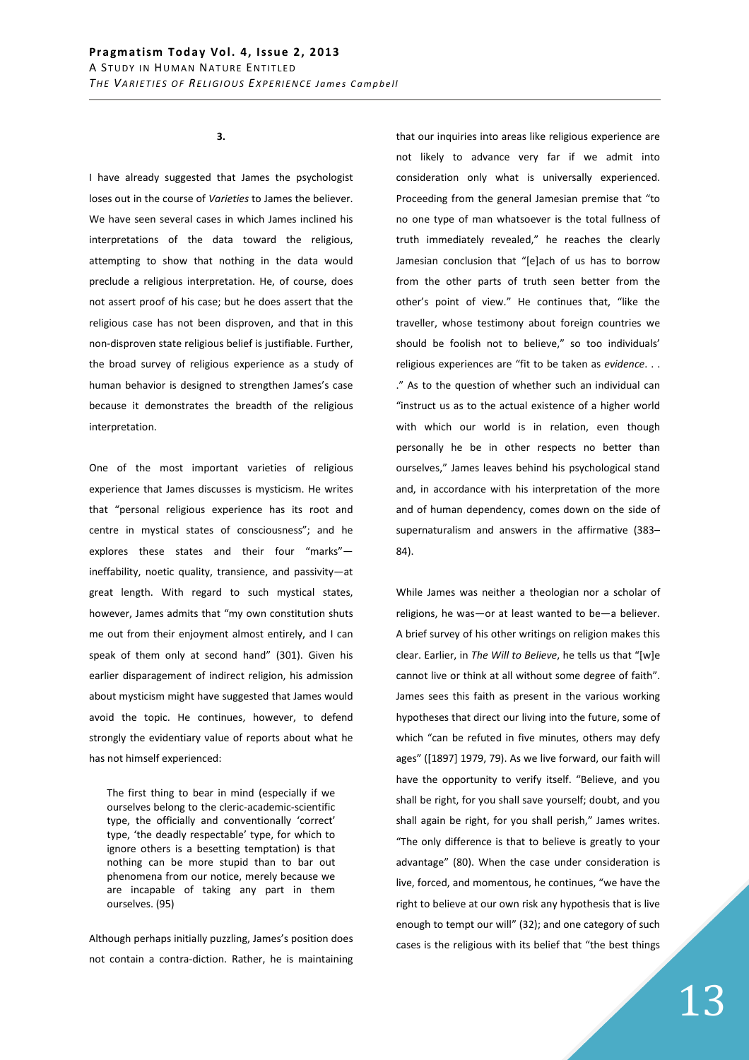## **3.**

I have already suggested that James the psychologist loses out in the course of *Varieties* to James the believer. We have seen several cases in which James inclined his interpretations of the data toward the religious, attempting to show that nothing in the data would preclude a religious interpretation. He, of course, does not assert proof of his case; but he does assert that the religious case has not been disproven, and that in this non-disproven state religious belief is justifiable. Further, the broad survey of religious experience as a study of human behavior is designed to strengthen James's case because it demonstrates the breadth of the religious interpretation.

One of the most important varieties of religious experience that James discusses is mysticism. He writes that "personal religious experience has its root and centre in mystical states of consciousness"; and he explores these states and their four "marks" ineffability, noetic quality, transience, and passivity—at great length. With regard to such mystical states, however, James admits that "my own constitution shuts me out from their enjoyment almost entirely, and I can speak of them only at second hand" (301). Given his earlier disparagement of indirect religion, his admission about mysticism might have suggested that James would avoid the topic. He continues, however, to defend strongly the evidentiary value of reports about what he has not himself experienced:

The first thing to bear in mind (especially if we ourselves belong to the cleric-academic-scientific type, the officially and conventionally 'correct' type, 'the deadly respectable' type, for which to ignore others is a besetting temptation) is that nothing can be more stupid than to bar out phenomena from our notice, merely because we are incapable of taking any part in them ourselves. (95)

Although perhaps initially puzzling, James's position does not contain a contra-diction. Rather, he is maintaining that our inquiries into areas like religious experience are not likely to advance very far if we admit into consideration only what is universally experienced. Proceeding from the general Jamesian premise that "to no one type of man whatsoever is the total fullness of truth immediately revealed," he reaches the clearly Jamesian conclusion that "[e]ach of us has to borrow from the other parts of truth seen better from the other's point of view." He continues that, "like the traveller, whose testimony about foreign countries we should be foolish not to believe," so too individuals' religious experiences are "fit to be taken as *evidence*. . . ." As to the question of whether such an individual can "instruct us as to the actual existence of a higher world with which our world is in relation, even though personally he be in other respects no better than ourselves," James leaves behind his psychological stand and, in accordance with his interpretation of the more and of human dependency, comes down on the side of supernaturalism and answers in the affirmative (383– 84).

While James was neither a theologian nor a scholar of religions, he was—or at least wanted to be—a believer. A brief survey of his other writings on religion makes this clear. Earlier, in *The Will to Believe*, he tells us that "[w]e cannot live or think at all without some degree of faith". James sees this faith as present in the various working hypotheses that direct our living into the future, some of which "can be refuted in five minutes, others may defy ages" ([1897] 1979, 79). As we live forward, our faith will have the opportunity to verify itself. "Believe, and you shall be right, for you shall save yourself; doubt, and you shall again be right, for you shall perish," James writes. "The only difference is that to believe is greatly to your advantage" (80). When the case under consideration is live, forced, and momentous, he continues, "we have the right to believe at our own risk any hypothesis that is live enough to tempt our will" (32); and one category of such cases is the religious with its belief that "the best things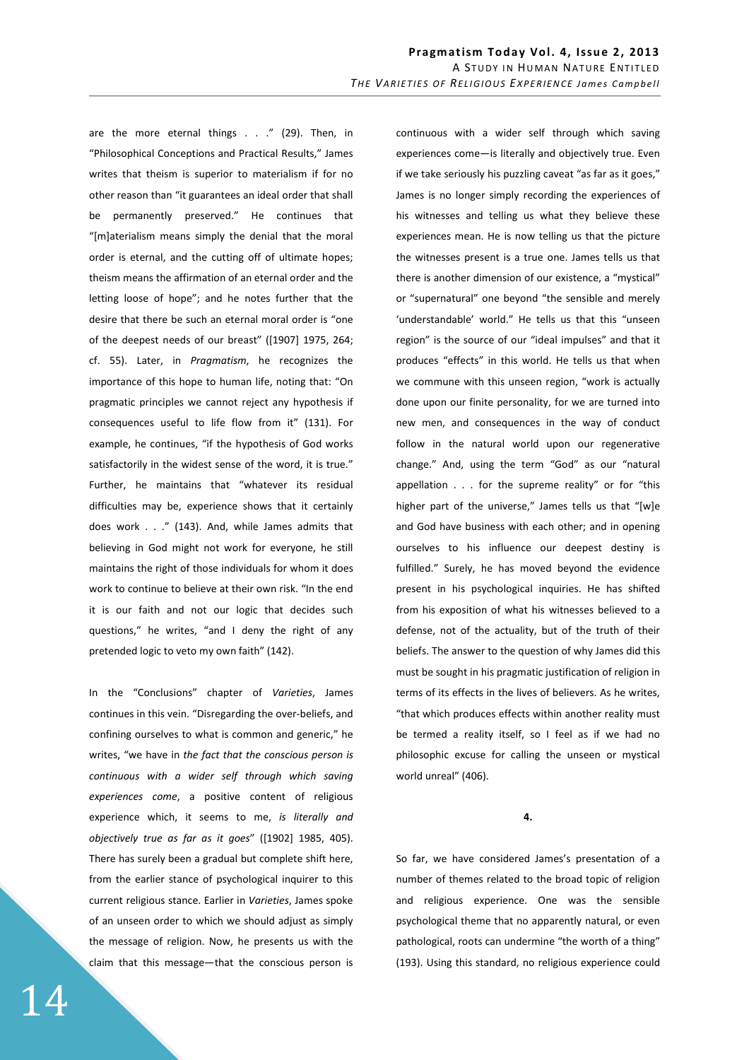are the more eternal things  $\ldots$  ." (29). Then, in "Philosophical Conceptions and Practical Results," James writes that theism is superior to materialism if for no other reason than "it guarantees an ideal order that shall be permanently preserved." He continues that "[m]aterialism means simply the denial that the moral order is eternal, and the cutting off of ultimate hopes; theism means the affirmation of an eternal order and the letting loose of hope"; and he notes further that the desire that there be such an eternal moral order is "one of the deepest needs of our breast" ([1907] 1975, 264; cf. 55). Later, in *Pragmatism*, he recognizes the importance of this hope to human life, noting that: "On pragmatic principles we cannot reject any hypothesis if consequences useful to life flow from it" (131). For example, he continues, "if the hypothesis of God works satisfactorily in the widest sense of the word, it is true." Further, he maintains that "whatever its residual difficulties may be, experience shows that it certainly does work . . ." (143). And, while James admits that believing in God might not work for everyone, he still maintains the right of those individuals for whom it does work to continue to believe at their own risk. "In the end it is our faith and not our logic that decides such questions," he writes, "and I deny the right of any pretended logic to veto my own faith" (142).

In the "Conclusions" chapter of *Varieties*, James continues in this vein. "Disregarding the over-beliefs, and confining ourselves to what is common and generic," he writes, "we have in *the fact that the conscious person is continuous with a wider self through which saving experiences come*, a positive content of religious experience which, it seems to me, *is literally and objectively true as far as it goes*" ([1902] 1985, 405). There has surely been a gradual but complete shift here, from the earlier stance of psychological inquirer to this current religious stance. Earlier in *Varieties*, James spoke of an unseen order to which we should adjust as simply the message of religion. Now, he presents us with the claim that this message—that the conscious person is

continuous with a wider self through which saving experiences come—is literally and objectively true. Even if we take seriously his puzzling caveat "as far as it goes," James is no longer simply recording the experiences of his witnesses and telling us what they believe these experiences mean. He is now telling us that the picture the witnesses present is a true one. James tells us that there is another dimension of our existence, a "mystical" or "supernatural" one beyond "the sensible and merely 'understandable' world." He tells us that this "unseen region" is the source of our "ideal impulses" and that it produces "effects" in this world. He tells us that when we commune with this unseen region, "work is actually done upon our finite personality, for we are turned into new men, and consequences in the way of conduct follow in the natural world upon our regenerative change." And, using the term "God" as our "natural appellation . . . for the supreme reality" or for "this higher part of the universe," James tells us that "[w]e and God have business with each other; and in opening ourselves to his influence our deepest destiny is fulfilled." Surely, he has moved beyond the evidence present in his psychological inquiries. He has shifted from his exposition of what his witnesses believed to a defense, not of the actuality, but of the truth of their beliefs. The answer to the question of why James did this must be sought in his pragmatic justification of religion in terms of its effects in the lives of believers. As he writes, "that which produces effects within another reality must be termed a reality itself, so I feel as if we had no philosophic excuse for calling the unseen or mystical world unreal" (406).

**4.** 

So far, we have considered James's presentation of a number of themes related to the broad topic of religion and religious experience. One was the sensible psychological theme that no apparently natural, or even pathological, roots can undermine "the worth of a thing" (193). Using this standard, no religious experience could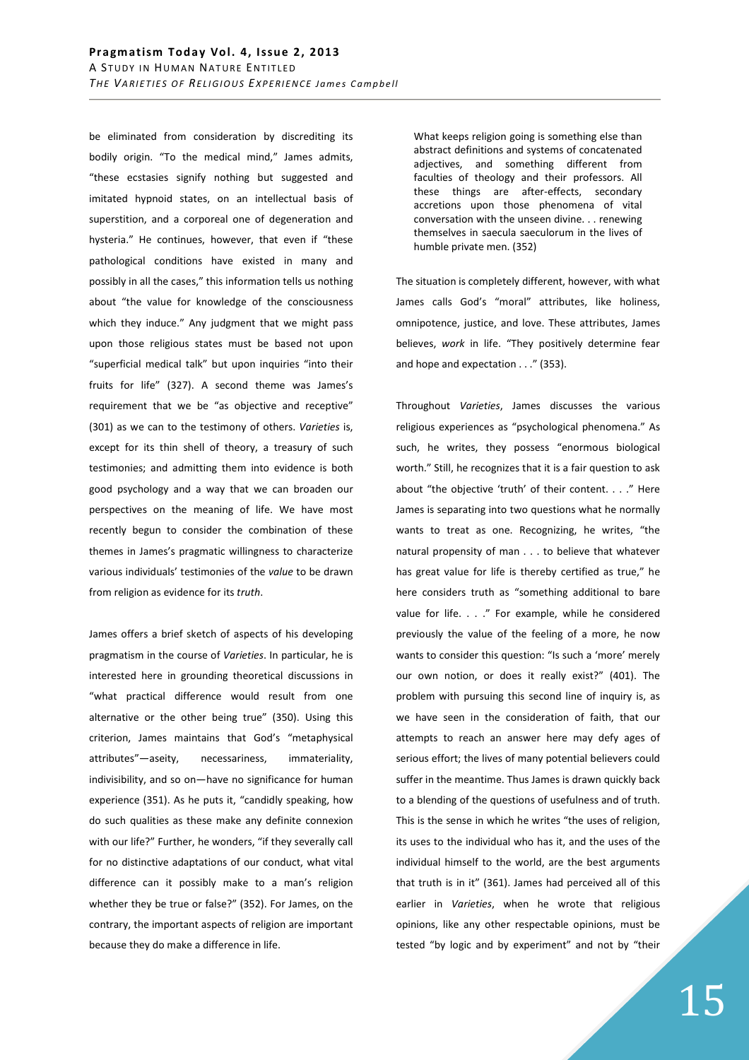be eliminated from consideration by discrediting its bodily origin. "To the medical mind," James admits, "these ecstasies signify nothing but suggested and imitated hypnoid states, on an intellectual basis of superstition, and a corporeal one of degeneration and hysteria." He continues, however, that even if "these pathological conditions have existed in many and possibly in all the cases," this information tells us nothing about "the value for knowledge of the consciousness which they induce." Any judgment that we might pass upon those religious states must be based not upon "superficial medical talk" but upon inquiries "into their fruits for life" (327). A second theme was James's requirement that we be "as objective and receptive" (301) as we can to the testimony of others. *Varieties* is, except for its thin shell of theory, a treasury of such testimonies; and admitting them into evidence is both good psychology and a way that we can broaden our perspectives on the meaning of life. We have most recently begun to consider the combination of these themes in James's pragmatic willingness to characterize various individuals' testimonies of the *value* to be drawn from religion as evidence for its *truth*.

James offers a brief sketch of aspects of his developing pragmatism in the course of *Varieties*. In particular, he is interested here in grounding theoretical discussions in "what practical difference would result from one alternative or the other being true" (350). Using this criterion, James maintains that God's "metaphysical attributes"—aseity, necessariness, immateriality, indivisibility, and so on—have no significance for human experience (351). As he puts it, "candidly speaking, how do such qualities as these make any definite connexion with our life?" Further, he wonders, "if they severally call for no distinctive adaptations of our conduct, what vital difference can it possibly make to a man's religion whether they be true or false?" (352). For James, on the contrary, the important aspects of religion are important because they do make a difference in life.

What keeps religion going is something else than abstract definitions and systems of concatenated adjectives, and something different from faculties of theology and their professors. All these things are after-effects, secondary accretions upon those phenomena of vital conversation with the unseen divine. . . renewing themselves in saecula saeculorum in the lives of humble private men. (352)

The situation is completely different, however, with what James calls God's "moral" attributes, like holiness, omnipotence, justice, and love. These attributes, James believes, *work* in life. "They positively determine fear and hope and expectation . . ." (353).

Throughout *Varieties*, James discusses the various religious experiences as "psychological phenomena." As such, he writes, they possess "enormous biological worth." Still, he recognizes that it is a fair question to ask about "the objective 'truth' of their content. . . ." Here James is separating into two questions what he normally wants to treat as one. Recognizing, he writes, "the natural propensity of man . . . to believe that whatever has great value for life is thereby certified as true," he here considers truth as "something additional to bare value for life. . . ." For example, while he considered previously the value of the feeling of a more, he now wants to consider this question: "Is such a 'more' merely our own notion, or does it really exist?" (401). The problem with pursuing this second line of inquiry is, as we have seen in the consideration of faith, that our attempts to reach an answer here may defy ages of serious effort; the lives of many potential believers could suffer in the meantime. Thus James is drawn quickly back to a blending of the questions of usefulness and of truth. This is the sense in which he writes "the uses of religion, its uses to the individual who has it, and the uses of the individual himself to the world, are the best arguments that truth is in it" (361). James had perceived all of this earlier in *Varieties*, when he wrote that religious opinions, like any other respectable opinions, must be tested "by logic and by experiment" and not by "their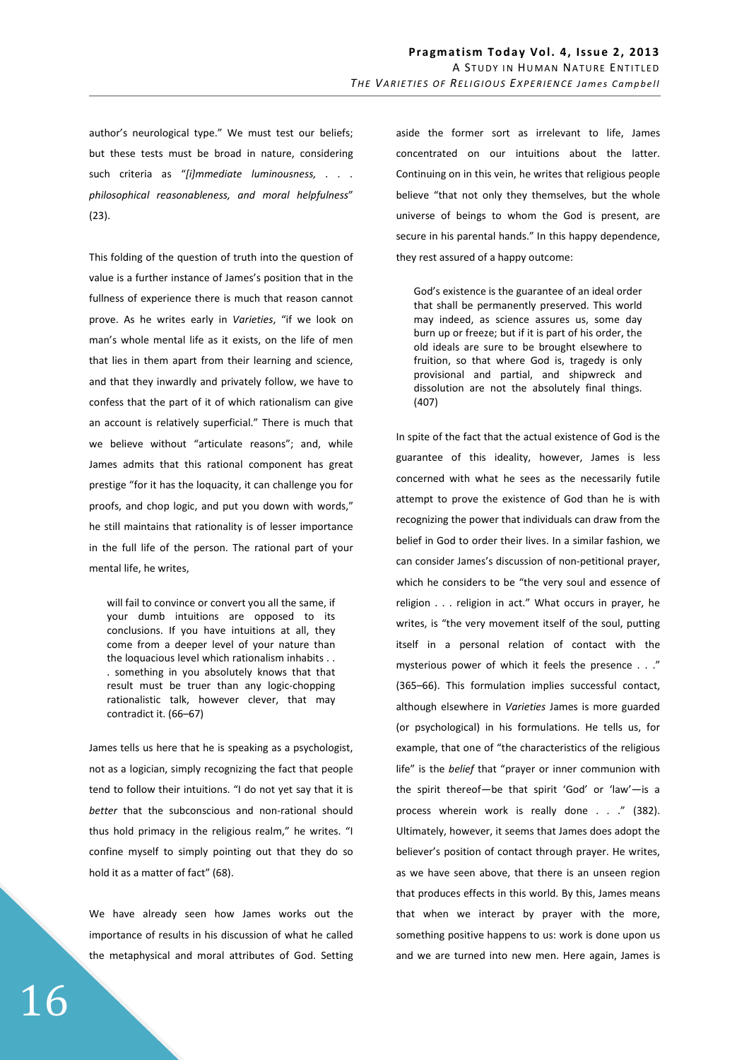author's neurological type." We must test our beliefs; but these tests must be broad in nature, considering such criteria as "*[i]mmediate luminousness, . . . philosophical reasonableness, and moral helpfulness*" (23).

This folding of the question of truth into the question of value is a further instance of James's position that in the fullness of experience there is much that reason cannot prove. As he writes early in *Varieties*, "if we look on man's whole mental life as it exists, on the life of men that lies in them apart from their learning and science, and that they inwardly and privately follow, we have to confess that the part of it of which rationalism can give an account is relatively superficial." There is much that we believe without "articulate reasons"; and, while James admits that this rational component has great prestige "for it has the loquacity, it can challenge you for proofs, and chop logic, and put you down with words," he still maintains that rationality is of lesser importance in the full life of the person. The rational part of your mental life, he writes,

will fail to convince or convert you all the same, if your dumb intuitions are opposed to its conclusions. If you have intuitions at all, they come from a deeper level of your nature than the loquacious level which rationalism inhabits . . . something in you absolutely knows that that result must be truer than any logic-chopping rationalistic talk, however clever, that may contradict it. (66–67)

James tells us here that he is speaking as a psychologist, not as a logician, simply recognizing the fact that people tend to follow their intuitions. "I do not yet say that it is *better* that the subconscious and non-rational should thus hold primacy in the religious realm," he writes. "I confine myself to simply pointing out that they do so hold it as a matter of fact" (68).

We have already seen how James works out the importance of results in his discussion of what he called the metaphysical and moral attributes of God. Setting aside the former sort as irrelevant to life, James concentrated on our intuitions about the latter. Continuing on in this vein, he writes that religious people believe "that not only they themselves, but the whole universe of beings to whom the God is present, are secure in his parental hands." In this happy dependence, they rest assured of a happy outcome:

God's existence is the guarantee of an ideal order that shall be permanently preserved. This world may indeed, as science assures us, some day burn up or freeze; but if it is part of his order, the old ideals are sure to be brought elsewhere to fruition, so that where God is, tragedy is only provisional and partial, and shipwreck and dissolution are not the absolutely final things. (407)

In spite of the fact that the actual existence of God is the guarantee of this ideality, however, James is less concerned with what he sees as the necessarily futile attempt to prove the existence of God than he is with recognizing the power that individuals can draw from the belief in God to order their lives. In a similar fashion, we can consider James's discussion of non-petitional prayer, which he considers to be "the very soul and essence of religion . . . religion in act." What occurs in prayer, he writes, is "the very movement itself of the soul, putting itself in a personal relation of contact with the mysterious power of which it feels the presence . . ." (365–66). This formulation implies successful contact, although elsewhere in *Varieties* James is more guarded (or psychological) in his formulations. He tells us, for example, that one of "the characteristics of the religious life" is the *belief* that "prayer or inner communion with the spirit thereof—be that spirit 'God' or 'law'—is a process wherein work is really done . . ." (382). Ultimately, however, it seems that James does adopt the believer's position of contact through prayer. He writes, as we have seen above, that there is an unseen region that produces effects in this world. By this, James means that when we interact by prayer with the more, something positive happens to us: work is done upon us and we are turned into new men. Here again, James is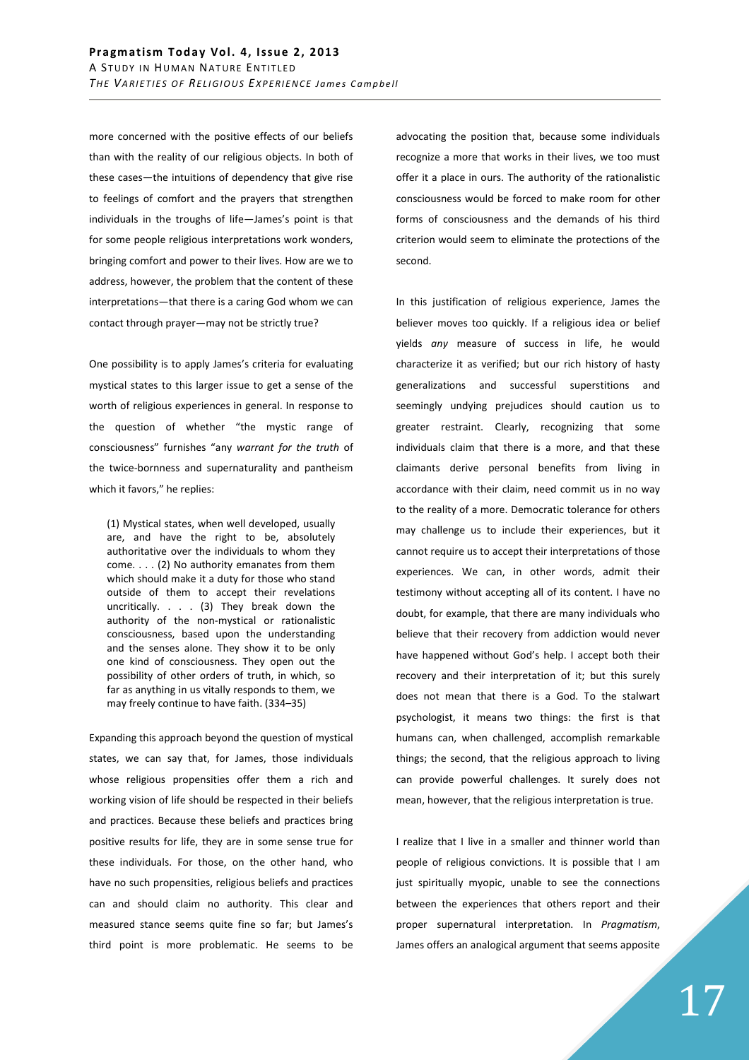more concerned with the positive effects of our beliefs than with the reality of our religious objects. In both of these cases—the intuitions of dependency that give rise to feelings of comfort and the prayers that strengthen individuals in the troughs of life—James's point is that for some people religious interpretations work wonders, bringing comfort and power to their lives. How are we to address, however, the problem that the content of these interpretations—that there is a caring God whom we can contact through prayer—may not be strictly true?

One possibility is to apply James's criteria for evaluating mystical states to this larger issue to get a sense of the worth of religious experiences in general. In response to the question of whether "the mystic range of consciousness" furnishes "any *warrant for the truth* of the twice-bornness and supernaturality and pantheism which it favors," he replies:

(1) Mystical states, when well developed, usually are, and have the right to be, absolutely authoritative over the individuals to whom they come. . . . (2) No authority emanates from them which should make it a duty for those who stand outside of them to accept their revelations uncritically. . . . (3) They break down the authority of the non-mystical or rationalistic consciousness, based upon the understanding and the senses alone. They show it to be only one kind of consciousness. They open out the possibility of other orders of truth, in which, so far as anything in us vitally responds to them, we may freely continue to have faith. (334–35)

Expanding this approach beyond the question of mystical states, we can say that, for James, those individuals whose religious propensities offer them a rich and working vision of life should be respected in their beliefs and practices. Because these beliefs and practices bring positive results for life, they are in some sense true for these individuals. For those, on the other hand, who have no such propensities, religious beliefs and practices can and should claim no authority. This clear and measured stance seems quite fine so far; but James's third point is more problematic. He seems to be advocating the position that, because some individuals recognize a more that works in their lives, we too must offer it a place in ours. The authority of the rationalistic consciousness would be forced to make room for other forms of consciousness and the demands of his third criterion would seem to eliminate the protections of the second.

In this justification of religious experience, James the believer moves too quickly. If a religious idea or belief yields *any* measure of success in life, he would characterize it as verified; but our rich history of hasty generalizations and successful superstitions and seemingly undying prejudices should caution us to greater restraint. Clearly, recognizing that some individuals claim that there is a more, and that these claimants derive personal benefits from living in accordance with their claim, need commit us in no way to the reality of a more. Democratic tolerance for others may challenge us to include their experiences, but it cannot require us to accept their interpretations of those experiences. We can, in other words, admit their testimony without accepting all of its content. I have no doubt, for example, that there are many individuals who believe that their recovery from addiction would never have happened without God's help. I accept both their recovery and their interpretation of it; but this surely does not mean that there is a God. To the stalwart psychologist, it means two things: the first is that humans can, when challenged, accomplish remarkable things; the second, that the religious approach to living can provide powerful challenges. It surely does not mean, however, that the religious interpretation is true.

I realize that I live in a smaller and thinner world than people of religious convictions. It is possible that I am just spiritually myopic, unable to see the connections between the experiences that others report and their proper supernatural interpretation. In *Pragmatism*, James offers an analogical argument that seems apposite